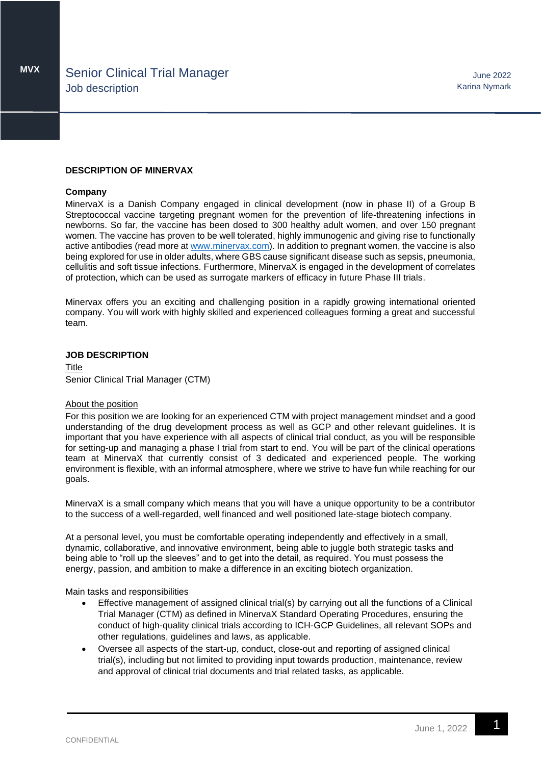### **DESCRIPTION OF MINERVAX**

#### **Company**

MinervaX is a Danish Company engaged in clinical development (now in phase II) of a Group B Streptococcal vaccine targeting pregnant women for the prevention of life-threatening infections in newborns. So far, the vaccine has been dosed to 300 healthy adult women, and over 150 pregnant women. The vaccine has proven to be well tolerated, highly immunogenic and giving rise to functionally active antibodies (read more at [www.minervax.com\)](http://www.minervax.com/). In addition to pregnant women, the vaccine is also being explored for use in older adults, where GBS cause significant disease such as sepsis, pneumonia, cellulitis and soft tissue infections. Furthermore, MinervaX is engaged in the development of correlates of protection, which can be used as surrogate markers of efficacy in future Phase III trials.

Minervax offers you an exciting and challenging position in a rapidly growing international oriented company. You will work with highly skilled and experienced colleagues forming a great and successful team.

### **JOB DESCRIPTION**

Title Senior Clinical Trial Manager (CTM)

### About the position

For this position we are looking for an experienced CTM with project management mindset and a good understanding of the drug development process as well as GCP and other relevant guidelines. It is important that you have experience with all aspects of clinical trial conduct, as you will be responsible for setting-up and managing a phase I trial from start to end. You will be part of the clinical operations team at MinervaX that currently consist of 3 dedicated and experienced people. The working environment is flexible, with an informal atmosphere, where we strive to have fun while reaching for our goals.

MinervaX is a small company which means that you will have a unique opportunity to be a contributor to the success of a well-regarded, well financed and well positioned late-stage biotech company.

At a personal level, you must be comfortable operating independently and effectively in a small, dynamic, collaborative, and innovative environment, being able to juggle both strategic tasks and being able to "roll up the sleeves" and to get into the detail, as required. You must possess the energy, passion, and ambition to make a difference in an exciting biotech organization.

### Main tasks and responsibilities

- Effective management of assigned clinical trial(s) by carrying out all the functions of a Clinical Trial Manager (CTM) as defined in MinervaX Standard Operating Procedures, ensuring the conduct of high-quality clinical trials according to ICH-GCP Guidelines, all relevant SOPs and other regulations, guidelines and laws, as applicable.
- Oversee all aspects of the start-up, conduct, close-out and reporting of assigned clinical trial(s), including but not limited to providing input towards production, maintenance, review and approval of clinical trial documents and trial related tasks, as applicable.